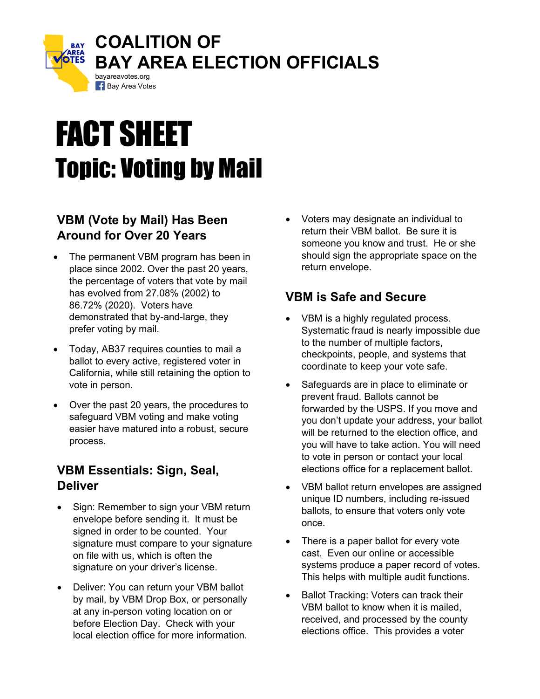

# FACT SHEET Topic: Voting by Mail

### **VBM (Vote by Mail) Has Been Around for Over 20 Years**

- The permanent VBM program has been in place since 2002. Over the past 20 years, the percentage of voters that vote by mail has evolved from 27.08% (2002) to 86.72% (2020). Voters have demonstrated that by-and-large, they prefer voting by mail.
- Today, AB37 requires counties to mail a ballot to every active, registered voter in California, while still retaining the option to vote in person.
- Over the past 20 years, the procedures to safeguard VBM voting and make voting easier have matured into a robust, secure process.

#### **VBM Essentials: Sign, Seal, Deliver**

- Sign: Remember to sign your VBM return envelope before sending it. It must be signed in order to be counted. Your signature must compare to your signature on file with us, which is often the signature on your driver's license.
- Deliver: You can return your VBM ballot by mail, by VBM Drop Box, or personally at any in-person voting location on or before Election Day. Check with your local election office for more information.

• Voters may designate an individual to return their VBM ballot. Be sure it is someone you know and trust. He or she should sign the appropriate space on the return envelope.

## **VBM is Safe and Secure**

- VBM is a highly regulated process. Systematic fraud is nearly impossible due to the number of multiple factors, checkpoints, people, and systems that coordinate to keep your vote safe.
- Safeguards are in place to eliminate or prevent fraud. Ballots cannot be forwarded by the USPS. If you move and you don't update your address, your ballot will be returned to the election office, and you will have to take action. You will need to vote in person or contact your local elections office for a replacement ballot.
- VBM ballot return envelopes are assigned unique ID numbers, including re-issued ballots, to ensure that voters only vote once.
- There is a paper ballot for every vote cast. Even our online or accessible systems produce a paper record of votes. This helps with multiple audit functions.
- Ballot Tracking: Voters can track their VBM ballot to know when it is mailed, received, and processed by the county elections office. This provides a voter